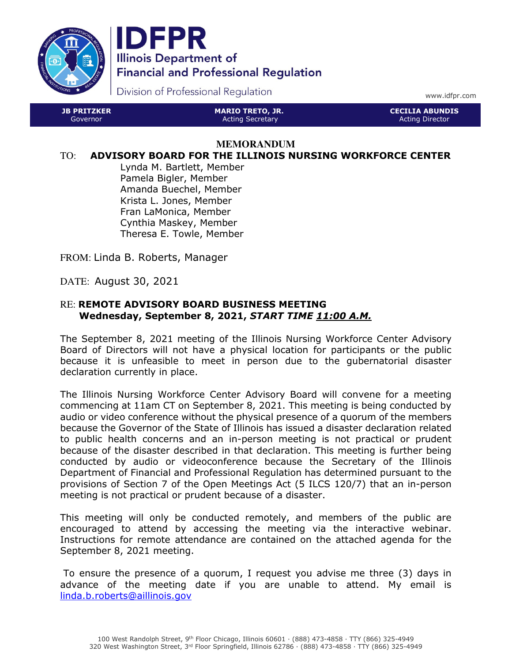

JB PRITZKER Governor



Division of Professional Regulation

www.idfpr.com

CECILIA ABUNDIS Acting Director

#### **MEMORANDUM**

MARIO TRETO, JR. Acting Secretary

#### TO: ADVISORY BOARD FOR THE ILLINOIS NURSING WORKFORCE CENTER

Lynda M. Bartlett, Member Pamela Bigler, Member Amanda Buechel, Member Krista L. Jones, Member Fran LaMonica, Member Cynthia Maskey, Member Theresa E. Towle, Member

FROM: Linda B. Roberts, Manager

DATE: August 30, 2021

#### RE: REMOTE ADVISORY BOARD BUSINESS MEETING Wednesday, September 8, 2021, START TIME 11:00 A.M.

The September 8, 2021 meeting of the Illinois Nursing Workforce Center Advisory Board of Directors will not have a physical location for participants or the public because it is unfeasible to meet in person due to the gubernatorial disaster declaration currently in place.

The Illinois Nursing Workforce Center Advisory Board will convene for a meeting commencing at 11am CT on September 8, 2021. This meeting is being conducted by audio or video conference without the physical presence of a quorum of the members because the Governor of the State of Illinois has issued a disaster declaration related to public health concerns and an in-person meeting is not practical or prudent because of the disaster described in that declaration. This meeting is further being conducted by audio or videoconference because the Secretary of the Illinois Department of Financial and Professional Regulation has determined pursuant to the provisions of Section 7 of the Open Meetings Act (5 ILCS 120/7) that an in-person meeting is not practical or prudent because of a disaster.

This meeting will only be conducted remotely, and members of the public are encouraged to attend by accessing the meeting via the interactive webinar. Instructions for remote attendance are contained on the attached agenda for the September 8, 2021 meeting.

 To ensure the presence of a quorum, I request you advise me three (3) days in advance of the meeting date if you are unable to attend. My email is linda.b.roberts@aillinois.gov